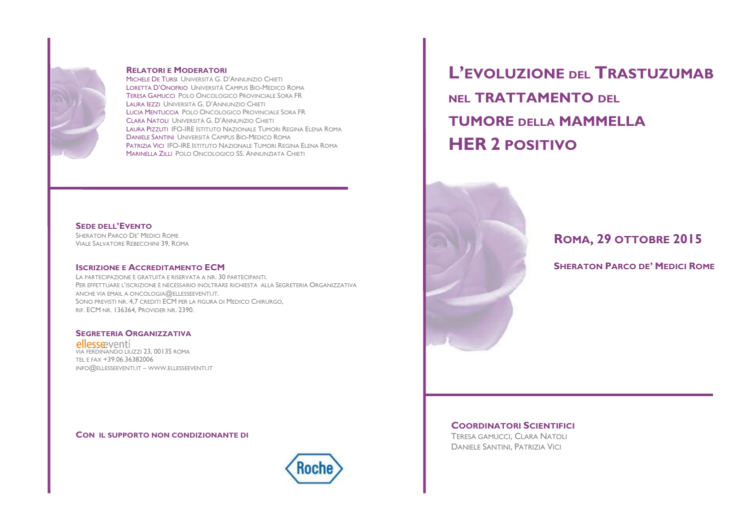

### **RELATORI E MODERATORI**

MICHELE DE TURSI UNIVERSITÀ G. D'ANNUNZIO CHIETI LORETTA D'ONOERIO LINIVERSITÀ CAMPLIS BIO-MEDICO ROMA TERESA GAMUCCU POLO ONCOLOGICO PROVINCIALE SORA ER LAURA JEZZI UNIVERSITÀ G. D'ANNUNZIO CHIETI LUCIA MENTUCCIA POLO ONCOLOGICO PROVINCIALE SORA FR CLARA NATOLI UNIVERSITÀ G. D'ANNUNZIO CHIETI LAURA PIZZUTI IFO-IRE ISTITUTO NAZIONALE TUMORI REGINA ELENA ROMA DANIELE SANTINI UNIVERSITÀ CAMPUS BIO-MEDICO ROMA PATRIZIA VICI IFO-IRE ISTITUTO NAZIONALE TUMORI REGINA ELENA ROMA MARINELLA ZILLI POLO ONCOLOGICO SS. ANNUNZIATA CHIETI

## **SEDE DELL'EVENTO**

SHERATON PARCO DE' MEDICI ROME VIALE SALVATORE REBECCHINI 39, ROMA

## **ISCRIZIONE E ACCREDITAMENTO FCM**

LA PARTECIPAZIONE È GRATUITA E RISERVATA A NR. 30 PARTECIPANTI. PER EFFETTUARE L'ISCRIZIONE È NECESSARIO INOLTRARE RICHIESTA ALLA SEGRETERIA ORGANIZZATIVA ANCHE VIA EMAIL A ONCOLOGIA  $@$  ELIESSEEVENTLIT. SONO PREVISTI NR. 4.7 CREDITI ECM PER LA FIGURA DI MEDICO CHIRURGO. RIE FCM NR 136364 PROVIDER NR 2390

#### **SEGRETERIA ORGANIZZATIVA**

ellesseventi VIA FERDINANDO LIUZZI 23. 00135 ROMA TEL E FAX +39 06 36382006 INFO@ELLESSEEVENTI.IT - WWW.ELLESSEEVENTI.IT

### CON IL SUPPORTO NON CONDIZIONANTE DI



L'EVOLUZIONE DEI TRASTUZUMAB NFI TRATTAMENTO DFI **TUMORE DELLA MAMMELLA HER 2 POSITIVO** 



ROMA, 29 OTTOBRE 2015

**SHERATON PARCO DE' MEDICI ROME** 

#### **COORDINATORI SCIENTIFICI**

**TERESA GAMUCCI, CLARA NATOLI DANIELE SANTINI, PATRIZIA VICI**